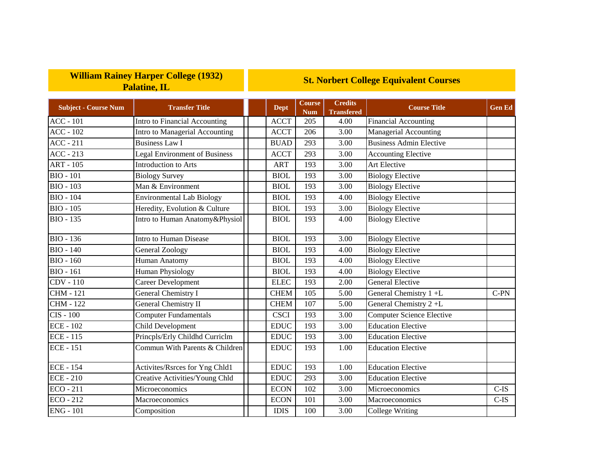## **William Rainey Harper College (1932) Palatine, IL**

## **St. Norbert College Equivalent Courses**

| <b>Subject - Course Num</b> | <b>Transfer Title</b>                | <b>Dept</b> | <b>Course</b><br><b>Num</b> | Credits<br><b>Transfered</b> | <b>Course Title</b>              | <b>Gen Ed</b> |
|-----------------------------|--------------------------------------|-------------|-----------------------------|------------------------------|----------------------------------|---------------|
| <b>ACC - 101</b>            | Intro to Financial Accounting        | <b>ACCT</b> | 205                         | 4.00                         | <b>Financial Accounting</b>      |               |
| $ACC - 102$                 | Intro to Managerial Accounting       | <b>ACCT</b> | 206                         | 3.00                         | Managerial Accounting            |               |
| $ACC - 211$                 | Business Law I                       | <b>BUAD</b> | 293                         | 3.00                         | <b>Business Admin Elective</b>   |               |
| $ACC - 213$                 | <b>Legal Environment of Business</b> | <b>ACCT</b> | 293                         | 3.00                         | <b>Accounting Elective</b>       |               |
| $ART - 105$                 | <b>Introduction to Arts</b>          | <b>ART</b>  | 193                         | 3.00                         | Art Elective                     |               |
| <b>BIO - 101</b>            | <b>Biology Survey</b>                | <b>BIOL</b> | 193                         | 3.00                         | <b>Biology Elective</b>          |               |
| $BIO - 103$                 | Man & Environment                    | <b>BIOL</b> | 193                         | 3.00                         | <b>Biology Elective</b>          |               |
| <b>BIO - 104</b>            | <b>Environmental Lab Biology</b>     | <b>BIOL</b> | 193                         | 4.00                         | <b>Biology Elective</b>          |               |
| $BIO - 105$                 | Heredity, Evolution & Culture        | <b>BIOL</b> | 193                         | 3.00                         | <b>Biology Elective</b>          |               |
| <b>BIO - 135</b>            | Intro to Human Anatomy&Physiol       | <b>BIOL</b> | 193                         | 4.00                         | <b>Biology Elective</b>          |               |
| <b>BIO - 136</b>            | Intro to Human Disease               | <b>BIOL</b> | 193                         | 3.00                         | <b>Biology Elective</b>          |               |
| $\overline{BIO} - 140$      | General Zoology                      | <b>BIOL</b> | 193                         | 4.00                         | <b>Biology Elective</b>          |               |
| <b>BIO - 160</b>            | Human Anatomy                        | <b>BIOL</b> | 193                         | 4.00                         | <b>Biology Elective</b>          |               |
| $BIO - 161$                 | <b>Human Physiology</b>              | <b>BIOL</b> | 193                         | 4.00                         | <b>Biology Elective</b>          |               |
| <b>CDV</b> - 110            | Career Development                   | <b>ELEC</b> | 193                         | 2.00                         | <b>General Elective</b>          |               |
| <b>CHM - 121</b>            | General Chemistry I                  | <b>CHEM</b> | 105                         | 5.00                         | General Chemistry 1+L            | $C-PN$        |
| <b>CHM - 122</b>            | General Chemistry II                 | <b>CHEM</b> | 107                         | 5.00                         | General Chemistry 2+L            |               |
| <b>CIS - 100</b>            | <b>Computer Fundamentals</b>         | <b>CSCI</b> | 193                         | 3.00                         | <b>Computer Science Elective</b> |               |
| <b>ECE - 102</b>            | Child Development                    | <b>EDUC</b> | 193                         | 3.00                         | <b>Education Elective</b>        |               |
| <b>ECE - 115</b>            | Princpls/Erly Childhd Curriclm       | <b>EDUC</b> | 193                         | 3.00                         | <b>Education Elective</b>        |               |
| <b>ECE - 151</b>            | Commun With Parents & Children       | <b>EDUC</b> | 193                         | 1.00                         | <b>Education Elective</b>        |               |
| <b>ECE - 154</b>            | Activites/Rsrces for Yng Chld1       | <b>EDUC</b> | 193                         | 1.00                         | <b>Education Elective</b>        |               |
| <b>ECE - 210</b>            | Creative Activities/Young Chld       | <b>EDUC</b> | 293                         | 3.00                         | <b>Education Elective</b>        |               |
| <b>ECO - 211</b>            | Microeconomics                       | <b>ECON</b> | 102                         | 3.00                         | Microeconomics                   | $C-IS$        |
| $ECO - 212$                 | Macroeconomics                       | <b>ECON</b> | 101                         | 3.00                         | Macroeconomics                   | $C-IS$        |
| <b>ENG - 101</b>            | Composition                          | <b>IDIS</b> | 100                         | 3.00                         | College Writing                  |               |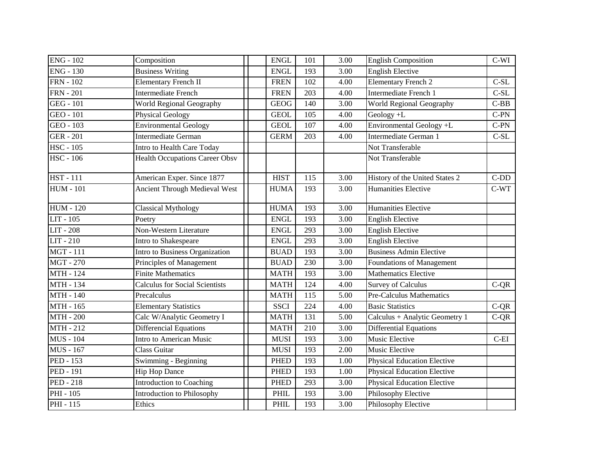| <b>ENG - 102</b>              | Composition                           | <b>ENGL</b> | 101 | 3.00 | <b>English Composition</b>         | $C-WI$        |
|-------------------------------|---------------------------------------|-------------|-----|------|------------------------------------|---------------|
| $ENG - 130$                   | <b>Business Writing</b>               | <b>ENGL</b> | 193 | 3.00 | <b>English Elective</b>            |               |
| <b>FRN</b> - 102              | <b>Elementary French II</b>           | <b>FREN</b> | 102 | 4.00 | <b>Elementary French 2</b>         | $C-SL$        |
| <b>FRN</b> - 201              | <b>Intermediate French</b>            | <b>FREN</b> | 203 | 4.00 | Intermediate French 1              | $\mbox{C-SL}$ |
| <b>GEG - 101</b>              | World Regional Geography              | <b>GEOG</b> | 140 | 3.00 | World Regional Geography           | $C-BB$        |
| GEO - 101                     | <b>Physical Geology</b>               | <b>GEOL</b> | 105 | 4.00 | Geology +L                         | $C-PN$        |
| GEO - 103                     | <b>Environmental Geology</b>          | <b>GEOL</b> | 107 | 4.00 | Environmental Geology +L           | $C-PN$        |
| <b>GER - 201</b>              | <b>Intermediate German</b>            | <b>GERM</b> | 203 | 4.00 | Intermediate German 1              | $C-SL$        |
| $\overline{\text{HSC}}$ - 105 | Intro to Health Care Today            |             |     |      | Not Transferable                   |               |
| <b>HSC - 106</b>              | <b>Health Occupations Career Obsv</b> |             |     |      | Not Transferable                   |               |
| <b>HST</b> - 111              | American Exper. Since 1877            | <b>HIST</b> | 115 | 3.00 | History of the United States 2     | $C-DD$        |
| <b>HUM - 101</b>              | <b>Ancient Through Medieval West</b>  | <b>HUMA</b> | 193 | 3.00 | <b>Humanities Elective</b>         | $C-WT$        |
| <b>HUM - 120</b>              | <b>Classical Mythology</b>            | <b>HUMA</b> | 193 | 3.00 | <b>Humanities Elective</b>         |               |
| LIT - 105                     | Poetry                                | <b>ENGL</b> | 193 | 3.00 | <b>English Elective</b>            |               |
| <b>LIT - 208</b>              | Non-Western Literature                | <b>ENGL</b> | 293 | 3.00 | <b>English Elective</b>            |               |
| LIT - 210                     | Intro to Shakespeare                  | <b>ENGL</b> | 293 | 3.00 | <b>English Elective</b>            |               |
| <b>MGT-111</b>                | Intro to Business Organization        | <b>BUAD</b> | 193 | 3.00 | <b>Business Admin Elective</b>     |               |
| <b>MGT-270</b>                | Principles of Management              | <b>BUAD</b> | 230 | 3.00 | Foundations of Management          |               |
| <b>MTH - 124</b>              | <b>Finite Mathematics</b>             | <b>MATH</b> | 193 | 3.00 | <b>Mathematics Elective</b>        |               |
| <b>MTH - 134</b>              | <b>Calculus for Social Scientists</b> | <b>MATH</b> | 124 | 4.00 | <b>Survey of Calculus</b>          | $C-QR$        |
| <b>MTH - 140</b>              | Precalculus                           | <b>MATH</b> | 115 | 5.00 | <b>Pre-Calculus Mathematics</b>    |               |
| MTH - 165                     | <b>Elementary Statistics</b>          | <b>SSCI</b> | 224 | 4.00 | <b>Basic Statistics</b>            | $C-QR$        |
| <b>MTH - 200</b>              | Calc W/Analytic Geometry I            | <b>MATH</b> | 131 | 5.00 | Calculus + Analytic Geometry 1     | $C-QR$        |
| <b>MTH-212</b>                | <b>Differencial Equations</b>         | <b>MATH</b> | 210 | 3.00 | <b>Differential Equations</b>      |               |
| <b>MUS</b> - 104              | Intro to American Music               | <b>MUSI</b> | 193 | 3.00 | <b>Music Elective</b>              | $C$ -EI       |
| <b>MUS</b> - 167              | <b>Class Guitar</b>                   | <b>MUSI</b> | 193 | 2.00 | Music Elective                     |               |
| <b>PED</b> - 153              | Swimming - Beginning                  | <b>PHED</b> | 193 | 1.00 | <b>Physical Education Elective</b> |               |
| <b>PED - 191</b>              | <b>Hip Hop Dance</b>                  | <b>PHED</b> | 193 | 1.00 | <b>Physical Education Elective</b> |               |
| <b>PED - 218</b>              | Introduction to Coaching              | <b>PHED</b> | 293 | 3.00 | <b>Physical Education Elective</b> |               |
| PHI - 105                     | <b>Introduction to Philosophy</b>     | <b>PHIL</b> | 193 | 3.00 | Philosophy Elective                |               |
| <b>PHI</b> - 115              | Ethics                                | <b>PHIL</b> | 193 | 3.00 | Philosophy Elective                |               |